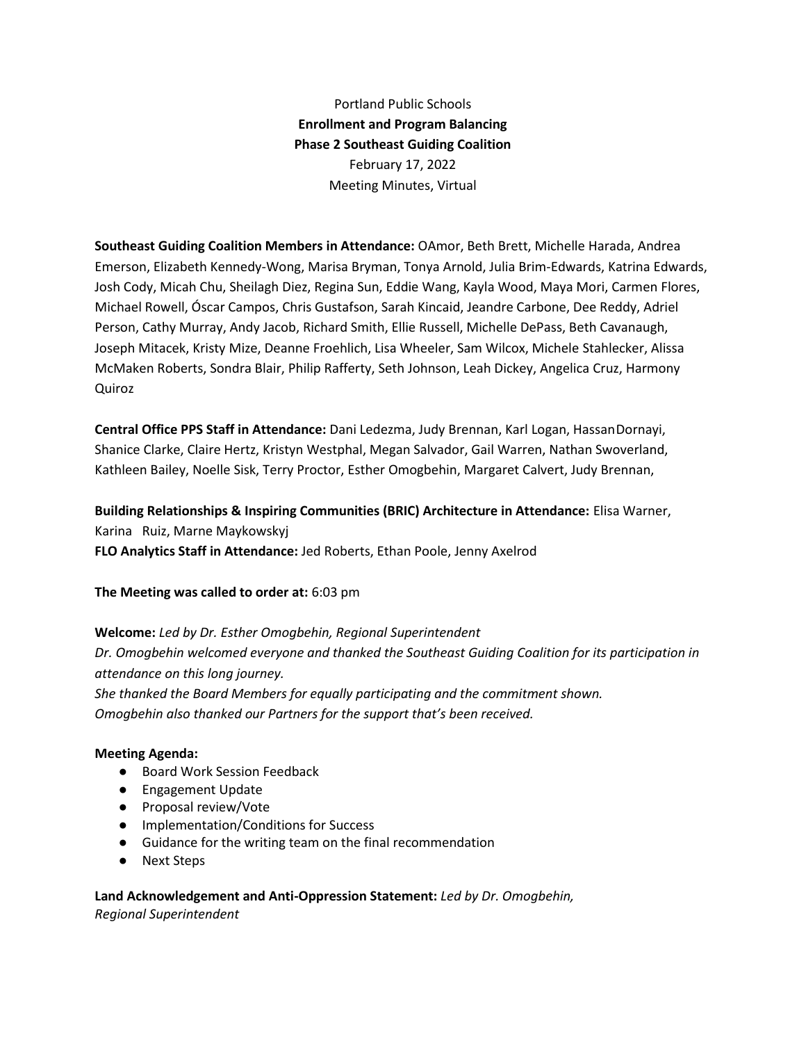Portland Public Schools **Enrollment and Program Balancing Phase 2 Southeast Guiding Coalition** February 17, 2022 Meeting Minutes, Virtual

**Southeast Guiding Coalition Members in Attendance:** OAmor, Beth Brett, Michelle Harada, Andrea Emerson, Elizabeth Kennedy-Wong, Marisa Bryman, Tonya Arnold, Julia Brim-Edwards, Katrina Edwards, Josh Cody, Micah Chu, Sheilagh Diez, Regina Sun, Eddie Wang, Kayla Wood, Maya Mori, Carmen Flores, Michael Rowell, Óscar Campos, Chris Gustafson, Sarah Kincaid, Jeandre Carbone, Dee Reddy, Adriel Person, Cathy Murray, Andy Jacob, Richard Smith, Ellie Russell, Michelle DePass, Beth Cavanaugh, Joseph Mitacek, Kristy Mize, Deanne Froehlich, Lisa Wheeler, Sam Wilcox, Michele Stahlecker, Alissa McMaken Roberts, Sondra Blair, Philip Rafferty, Seth Johnson, Leah Dickey, Angelica Cruz, Harmony Quiroz

**Central Office PPS Staff in Attendance:** Dani Ledezma, Judy Brennan, Karl Logan, HassanDornayi, Shanice Clarke, Claire Hertz, Kristyn Westphal, Megan Salvador, Gail Warren, Nathan Swoverland, Kathleen Bailey, Noelle Sisk, Terry Proctor, Esther Omogbehin, Margaret Calvert, Judy Brennan,

**Building Relationships & Inspiring Communities (BRIC) Architecture in Attendance:** Elisa Warner, Karina Ruiz, Marne Maykowskyj **FLO Analytics Staff in Attendance:** Jed Roberts, Ethan Poole, Jenny Axelrod

**The Meeting was called to order at:** 6:03 pm

**Welcome:** *Led by Dr. Esther Omogbehin, Regional Superintendent Dr. Omogbehin welcomed everyone and thanked the Southeast Guiding Coalition for its participation in attendance on this long journey. She thanked the Board Members for equally participating and the commitment shown.*

*Omogbehin also thanked our Partners for the support that's been received.*

#### **Meeting Agenda:**

- Board Work Session Feedback
- Engagement Update
- Proposal review/Vote
- Implementation/Conditions for Success
- Guidance for the writing team on the final recommendation
- Next Steps

**Land Acknowledgement and Anti-Oppression Statement:** *Led by Dr. Omogbehin, Regional Superintendent*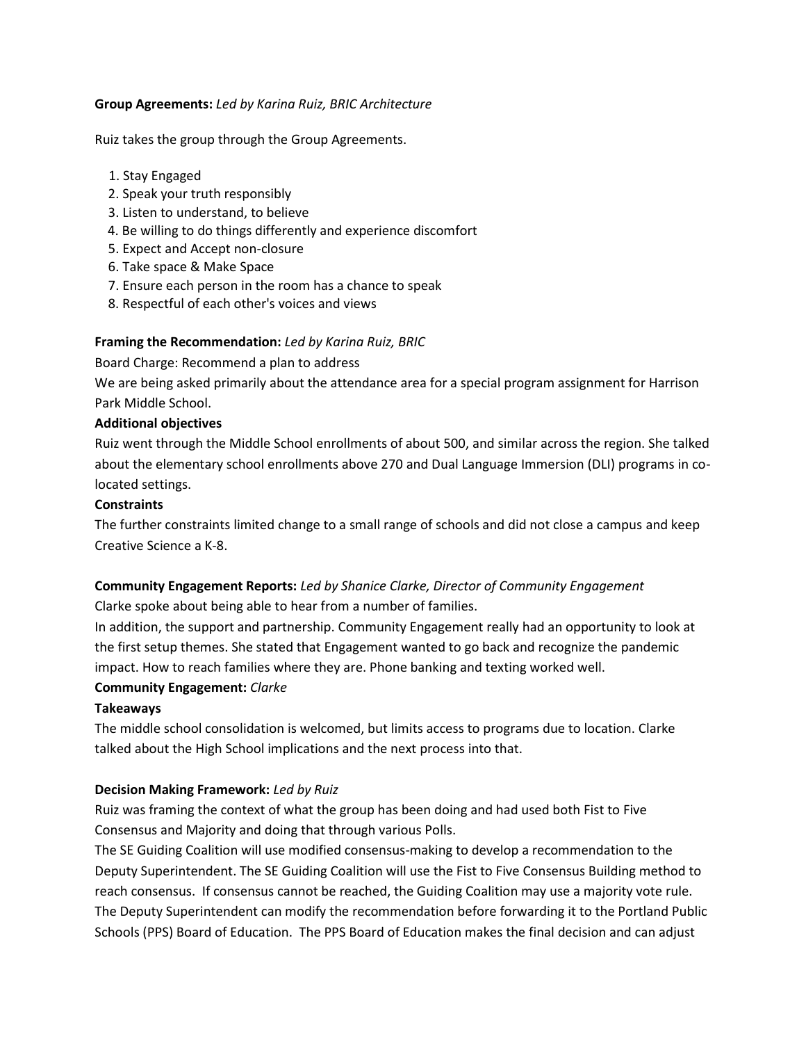#### **Group Agreements:** *Led by Karina Ruiz, BRIC Architecture*

Ruiz takes the group through the Group Agreements.

- 1. Stay Engaged
- 2. Speak your truth responsibly
- 3. Listen to understand, to believe
- 4. Be willing to do things differently and experience discomfort
- 5. Expect and Accept non-closure
- 6. Take space & Make Space
- 7. Ensure each person in the room has a chance to speak
- 8. Respectful of each other's voices and views

## **Framing the Recommendation:** *Led by Karina Ruiz, BRIC*

Board Charge: Recommend a plan to address

We are being asked primarily about the attendance area for a special program assignment for Harrison Park Middle School.

#### **Additional objectives**

Ruiz went through the Middle School enrollments of about 500, and similar across the region. She talked about the elementary school enrollments above 270 and Dual Language Immersion (DLI) programs in colocated settings.

#### **Constraints**

The further constraints limited change to a small range of schools and did not close a campus and keep Creative Science a K-8.

# **Community Engagement Reports:** *Led by Shanice Clarke, Director of Community Engagement*

Clarke spoke about being able to hear from a number of families.

In addition, the support and partnership. Community Engagement really had an opportunity to look at the first setup themes. She stated that Engagement wanted to go back and recognize the pandemic impact. How to reach families where they are. Phone banking and texting worked well.

## **Community Engagement:** *Clarke*

## **Takeaways**

The middle school consolidation is welcomed, but limits access to programs due to location. Clarke talked about the High School implications and the next process into that.

## **Decision Making Framework:** *Led by Ruiz*

Ruiz was framing the context of what the group has been doing and had used both Fist to Five Consensus and Majority and doing that through various Polls.

The SE Guiding Coalition will use modified consensus-making to develop a recommendation to the Deputy Superintendent. The SE Guiding Coalition will use the Fist to Five Consensus Building method to reach consensus. If consensus cannot be reached, the Guiding Coalition may use a majority vote rule. The Deputy Superintendent can modify the recommendation before forwarding it to the Portland Public Schools (PPS) Board of Education. The PPS Board of Education makes the final decision and can adjust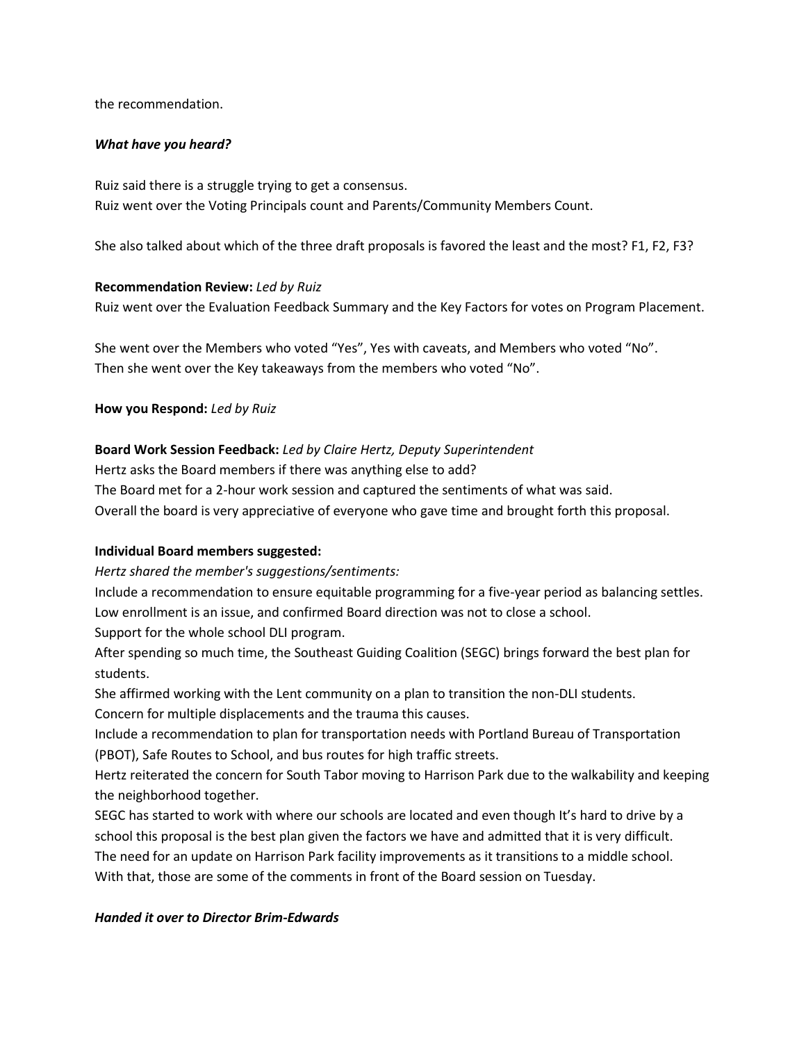the recommendation.

#### *What have you heard?*

Ruiz said there is a struggle trying to get a consensus. Ruiz went over the Voting Principals count and Parents/Community Members Count.

She also talked about which of the three draft proposals is favored the least and the most? F1, F2, F3?

#### **Recommendation Review:** *Led by Ruiz*

Ruiz went over the Evaluation Feedback Summary and the Key Factors for votes on Program Placement.

She went over the Members who voted "Yes", Yes with caveats, and Members who voted "No". Then she went over the Key takeaways from the members who voted "No".

#### **How you Respond:** *Led by Ruiz*

#### **Board Work Session Feedback:** *Led by Claire Hertz, Deputy Superintendent*

Hertz asks the Board members if there was anything else to add?

The Board met for a 2-hour work session and captured the sentiments of what was said.

Overall the board is very appreciative of everyone who gave time and brought forth this proposal.

#### **Individual Board members suggested:**

*Hertz shared the member's suggestions/sentiments:*

Include a recommendation to ensure equitable programming for a five-year period as balancing settles. Low enrollment is an issue, and confirmed Board direction was not to close a school.

Support for the whole school DLI program.

After spending so much time, the Southeast Guiding Coalition (SEGC) brings forward the best plan for students.

She affirmed working with the Lent community on a plan to transition the non-DLI students. Concern for multiple displacements and the trauma this causes.

Include a recommendation to plan for transportation needs with Portland Bureau of Transportation (PBOT), Safe Routes to School, and bus routes for high traffic streets.

Hertz reiterated the concern for South Tabor moving to Harrison Park due to the walkability and keeping the neighborhood together.

SEGC has started to work with where our schools are located and even though It's hard to drive by a school this proposal is the best plan given the factors we have and admitted that it is very difficult. The need for an update on Harrison Park facility improvements as it transitions to a middle school. With that, those are some of the comments in front of the Board session on Tuesday.

#### *Handed it over to Director Brim-Edwards*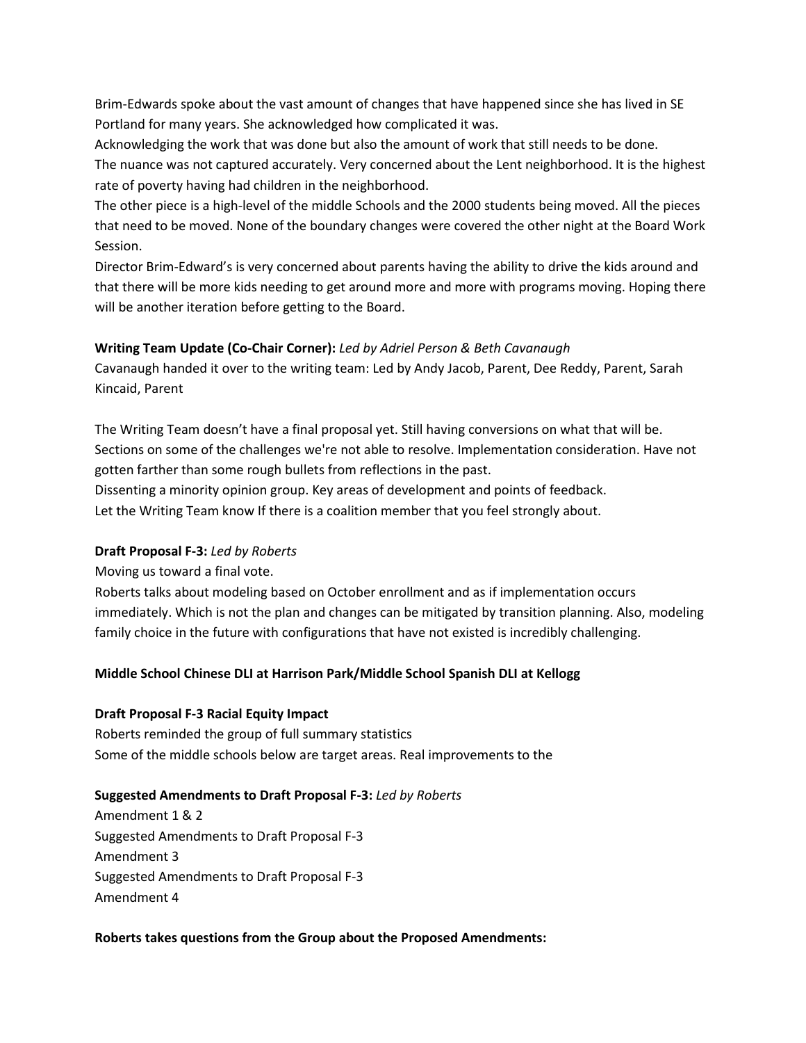Brim-Edwards spoke about the vast amount of changes that have happened since she has lived in SE Portland for many years. She acknowledged how complicated it was.

Acknowledging the work that was done but also the amount of work that still needs to be done.

The nuance was not captured accurately. Very concerned about the Lent neighborhood. It is the highest rate of poverty having had children in the neighborhood.

The other piece is a high-level of the middle Schools and the 2000 students being moved. All the pieces that need to be moved. None of the boundary changes were covered the other night at the Board Work Session.

Director Brim-Edward's is very concerned about parents having the ability to drive the kids around and that there will be more kids needing to get around more and more with programs moving. Hoping there will be another iteration before getting to the Board.

## **Writing Team Update (Co-Chair Corner):** *Led by Adriel Person & Beth Cavanaugh*

Cavanaugh handed it over to the writing team: Led by Andy Jacob, Parent, Dee Reddy, Parent, Sarah Kincaid, Parent

The Writing Team doesn't have a final proposal yet. Still having conversions on what that will be. Sections on some of the challenges we're not able to resolve. Implementation consideration. Have not gotten farther than some rough bullets from reflections in the past. Dissenting a minority opinion group. Key areas of development and points of feedback. Let the Writing Team know If there is a coalition member that you feel strongly about.

## **Draft Proposal F-3:** *Led by Roberts*

Moving us toward a final vote.

Roberts talks about modeling based on October enrollment and as if implementation occurs immediately. Which is not the plan and changes can be mitigated by transition planning. Also, modeling family choice in the future with configurations that have not existed is incredibly challenging.

## **Middle School Chinese DLI at Harrison Park/Middle School Spanish DLI at Kellogg**

## **Draft Proposal F-3 Racial Equity Impact**

Roberts reminded the group of full summary statistics Some of the middle schools below are target areas. Real improvements to the

#### **Suggested Amendments to Draft Proposal F-3:** *Led by Roberts*

Amendment 1 & 2 Suggested Amendments to Draft Proposal F-3 Amendment 3 Suggested Amendments to Draft Proposal F-3 Amendment 4

#### **Roberts takes questions from the Group about the Proposed Amendments:**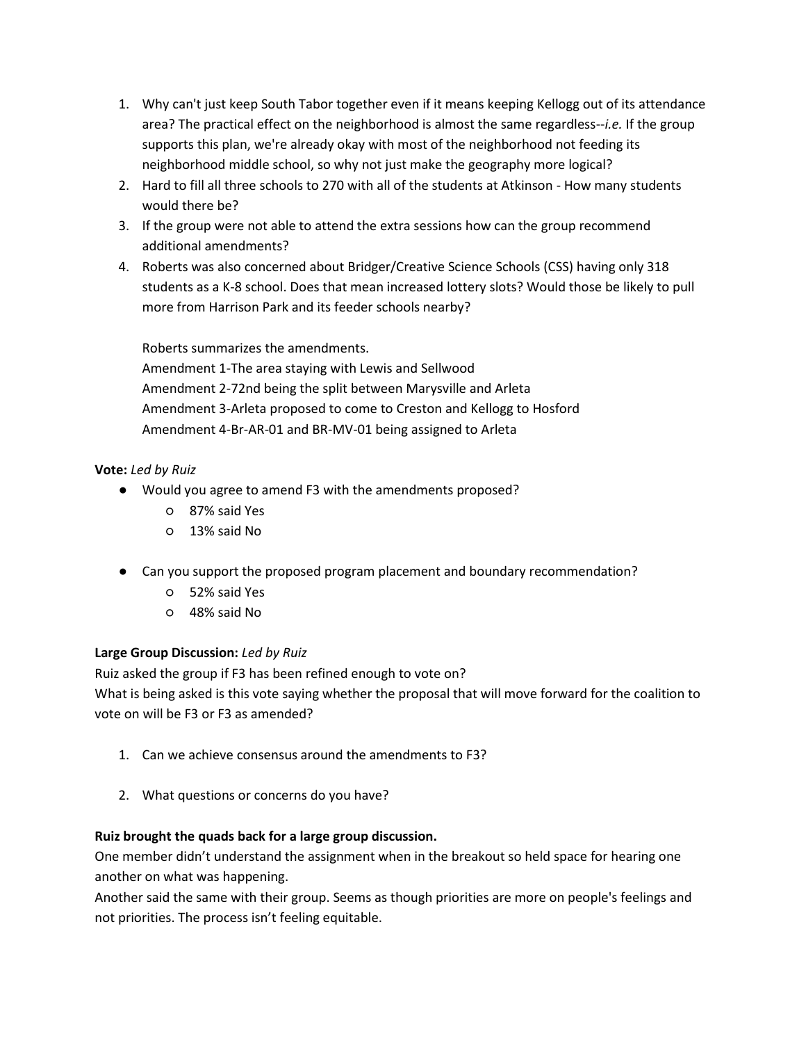- 1. Why can't just keep South Tabor together even if it means keeping Kellogg out of its attendance area? The practical effect on the neighborhood is almost the same regardless--*i.e.* If the group supports this plan, we're already okay with most of the neighborhood not feeding its neighborhood middle school, so why not just make the geography more logical?
- 2. Hard to fill all three schools to 270 with all of the students at Atkinson How many students would there be?
- 3. If the group were not able to attend the extra sessions how can the group recommend additional amendments?
- 4. Roberts was also concerned about Bridger/Creative Science Schools (CSS) having only 318 students as a K-8 school. Does that mean increased lottery slots? Would those be likely to pull more from Harrison Park and its feeder schools nearby?

Roberts summarizes the amendments. Amendment 1-The area staying with Lewis and Sellwood Amendment 2-72nd being the split between Marysville and Arleta Amendment 3-Arleta proposed to come to Creston and Kellogg to Hosford Amendment 4-Br-AR-01 and BR-MV-01 being assigned to Arleta

# **Vote:** *Led by Ruiz*

- Would you agree to amend F3 with the amendments proposed?
	- 87% said Yes
	- 13% said No
- Can you support the proposed program placement and boundary recommendation?
	- 52% said Yes
	- 48% said No

## **Large Group Discussion:** *Led by Ruiz*

Ruiz asked the group if F3 has been refined enough to vote on?

What is being asked is this vote saying whether the proposal that will move forward for the coalition to vote on will be F3 or F3 as amended?

- 1. Can we achieve consensus around the amendments to F3?
- 2. What questions or concerns do you have?

## **Ruiz brought the quads back for a large group discussion.**

One member didn't understand the assignment when in the breakout so held space for hearing one another on what was happening.

Another said the same with their group. Seems as though priorities are more on people's feelings and not priorities. The process isn't feeling equitable.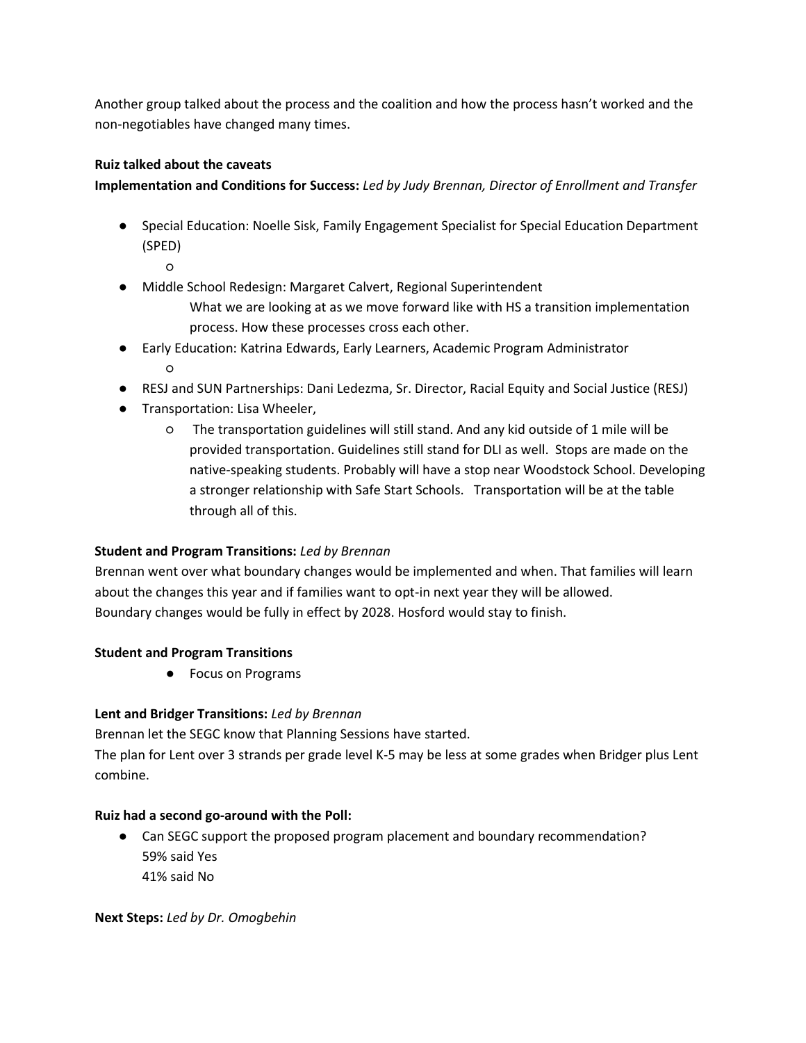Another group talked about the process and the coalition and how the process hasn't worked and the non-negotiables have changed many times.

## **Ruiz talked about the caveats**

**Implementation and Conditions for Success:** *Led by Judy Brennan, Director of Enrollment and Transfer*

- Special Education: Noelle Sisk, Family Engagement Specialist for Special Education Department (SPED)
	- ○
- Middle School Redesign: Margaret Calvert, Regional Superintendent
	- What we are looking at as we move forward like with HS a transition implementation process. How these processes cross each other.
- Early Education: Katrina Edwards, Early Learners, Academic Program Administrator ○
- RESJ and SUN Partnerships: Dani Ledezma, Sr. Director, Racial Equity and Social Justice (RESJ)
- Transportation: Lisa Wheeler,
	- The transportation guidelines will still stand. And any kid outside of 1 mile will be provided transportation. Guidelines still stand for DLI as well. Stops are made on the native-speaking students. Probably will have a stop near Woodstock School. Developing a stronger relationship with Safe Start Schools. Transportation will be at the table through all of this.

# **Student and Program Transitions:** *Led by Brennan*

Brennan went over what boundary changes would be implemented and when. That families will learn about the changes this year and if families want to opt-in next year they will be allowed. Boundary changes would be fully in effect by 2028. Hosford would stay to finish.

## **Student and Program Transitions**

● Focus on Programs

## **Lent and Bridger Transitions:** *Led by Brennan*

Brennan let the SEGC know that Planning Sessions have started.

The plan for Lent over 3 strands per grade level K-5 may be less at some grades when Bridger plus Lent combine.

## **Ruiz had a second go-around with the Poll:**

• Can SEGC support the proposed program placement and boundary recommendation? 59% said Yes 41% said No

**Next Steps:** *Led by Dr. Omogbehin*